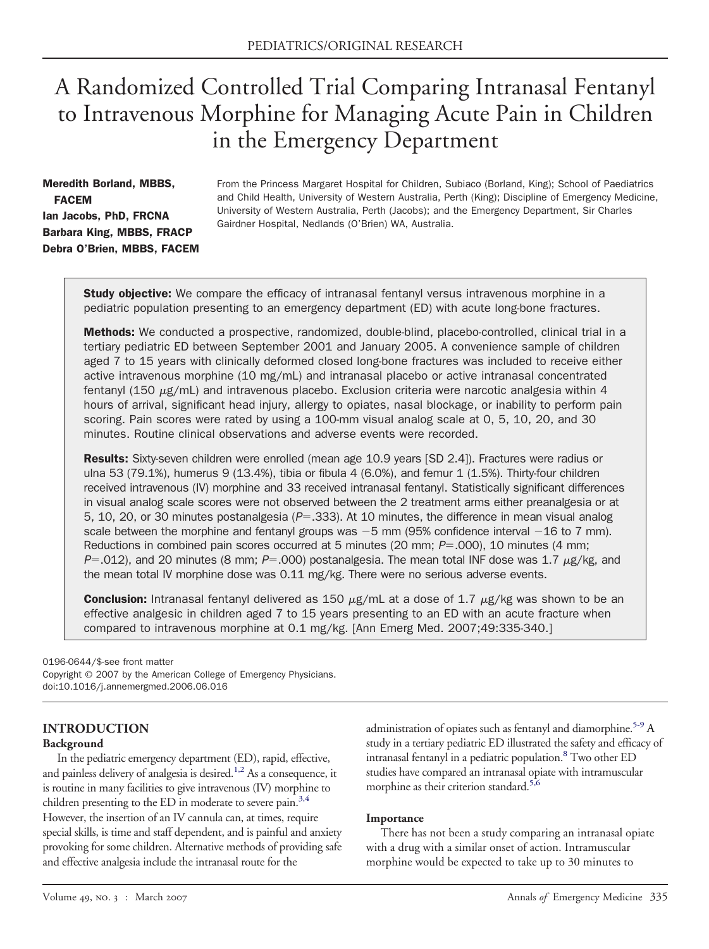# A Randomized Controlled Trial Comparing Intranasal Fentanyl to Intravenous Morphine for Managing Acute Pain in Children in the Emergency Department

# Meredith Borland, MBBS, FACEM Ian Jacobs, PhD, FRCNA Barbara King, MBBS, FRACP Debra O'Brien, MBBS, FACEM

From the Princess Margaret Hospital for Children, Subiaco (Borland, King); School of Paediatrics and Child Health, University of Western Australia, Perth (King); Discipline of Emergency Medicine, University of Western Australia, Perth (Jacobs); and the Emergency Department, Sir Charles Gairdner Hospital, Nedlands (O'Brien) WA, Australia.

**Study objective:** We compare the efficacy of intranasal fentanyl versus intravenous morphine in a pediatric population presenting to an emergency department (ED) with acute long-bone fractures.

Methods: We conducted a prospective, randomized, double-blind, placebo-controlled, clinical trial in a tertiary pediatric ED between September 2001 and January 2005. A convenience sample of children aged 7 to 15 years with clinically deformed closed long-bone fractures was included to receive either active intravenous morphine (10 mg/mL) and intranasal placebo or active intranasal concentrated fentanyl (150  $\mu$ g/mL) and intravenous placebo. Exclusion criteria were narcotic analgesia within 4 hours of arrival, significant head injury, allergy to opiates, nasal blockage, or inability to perform pain scoring. Pain scores were rated by using a 100-mm visual analog scale at 0, 5, 10, 20, and 30 minutes. Routine clinical observations and adverse events were recorded.

Results: Sixty-seven children were enrolled (mean age 10.9 years [SD 2.4]). Fractures were radius or ulna 53 (79.1%), humerus 9 (13.4%), tibia or fibula 4 (6.0%), and femur 1 (1.5%). Thirty-four children received intravenous (IV) morphine and 33 received intranasal fentanyl. Statistically significant differences in visual analog scale scores were not observed between the 2 treatment arms either preanalgesia or at 5, 10, 20, or 30 minutes postanalgesia (P=.333). At 10 minutes, the difference in mean visual analog scale between the morphine and fentanyl groups was  $-5$  mm (95% confidence interval  $-16$  to 7 mm). Reductions in combined pain scores occurred at 5 minutes (20 mm;  $P = .000$ ), 10 minutes (4 mm;  $P = .012$ ), and 20 minutes (8 mm;  $P = .000$ ) postanalgesia. The mean total INF dose was 1.7  $\mu$ g/kg, and the mean total IV morphine dose was 0.11 mg/kg. There were no serious adverse events.

**Conclusion:** Intranasal fentanyl delivered as 150  $\mu$ g/mL at a dose of 1.7  $\mu$ g/kg was shown to be an effective analgesic in children aged 7 to 15 years presenting to an ED with an acute fracture when compared to intravenous morphine at 0.1 mg/kg. [Ann Emerg Med. 2007;49:335-340.]

0196-0644/\$-see front matter

Copyright © 2007 by the American College of Emergency Physicians. doi:10.1016/j.annemergmed.2006.06.016

#### **INTRODUCTION Background**

In the pediatric emergency department (ED), rapid, effective, and painless delivery of analgesia is desired.<sup>1,2</sup> As a consequence, it is routine in many facilities to give intravenous (IV) morphine to children presenting to the ED in moderate to severe pain. $3,4$ However, the insertion of an IV cannula can, at times, require special skills, is time and staff dependent, and is painful and anxiety provoking for some children. Alternative methods of providing safe and effective analgesia include the intranasal route for the

administration of opiates such as fentanyl and diamorphine.<sup>5-9</sup> A study in a tertiary pediatric ED illustrated the safety and efficacy of intranasal fentanyl in a pediatric population.<sup>8</sup> Two other ED studies have compared an intranasal opiate with intramuscular morphine as their criterion standard.<sup>5,6</sup>

#### **Importance**

There has not been a study comparing an intranasal opiate with a drug with a similar onset of action. Intramuscular morphine would be expected to take up to 30 minutes to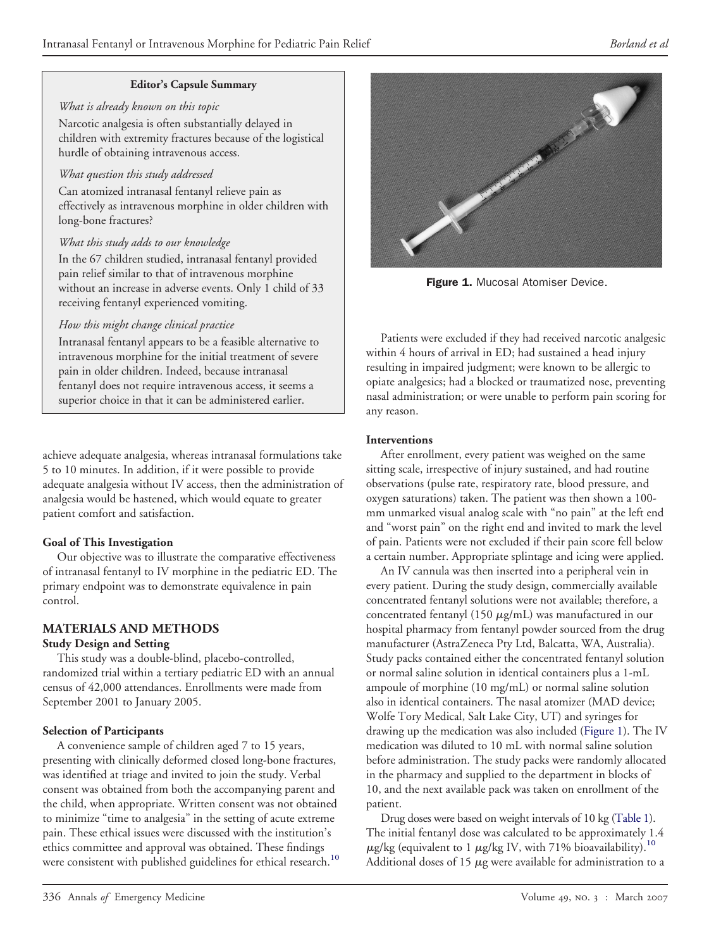#### **Editor's Capsule Summary**

*What is already known on this topic*

Narcotic analgesia is often substantially delayed in children with extremity fractures because of the logistical hurdle of obtaining intravenous access.

#### *What question this study addressed*

Can atomized intranasal fentanyl relieve pain as effectively as intravenous morphine in older children with long-bone fractures?

# *What this study adds to our knowledge*

In the 67 children studied, intranasal fentanyl provided pain relief similar to that of intravenous morphine without an increase in adverse events. Only 1 child of 33 receiving fentanyl experienced vomiting.

# *How this might change clinical practice*

Intranasal fentanyl appears to be a feasible alternative to intravenous morphine for the initial treatment of severe pain in older children. Indeed, because intranasal fentanyl does not require intravenous access, it seems a superior choice in that it can be administered earlier.

achieve adequate analgesia, whereas intranasal formulations take 5 to 10 minutes. In addition, if it were possible to provide adequate analgesia without IV access, then the administration of analgesia would be hastened, which would equate to greater patient comfort and satisfaction.

# **Goal of This Investigation**

Our objective was to illustrate the comparative effectiveness of intranasal fentanyl to IV morphine in the pediatric ED. The primary endpoint was to demonstrate equivalence in pain control.

# **MATERIALS AND METHODS**

# **Study Design and Setting**

This study was a double-blind, placebo-controlled, randomized trial within a tertiary pediatric ED with an annual census of 42,000 attendances. Enrollments were made from September 2001 to January 2005.

# **Selection of Participants**

A convenience sample of children aged 7 to 15 years, presenting with clinically deformed closed long-bone fractures, was identified at triage and invited to join the study. Verbal consent was obtained from both the accompanying parent and the child, when appropriate. Written consent was not obtained to minimize "time to analgesia" in the setting of acute extreme pain. These ethical issues were discussed with the institution's ethics committee and approval was obtained. These findings were consistent with published guidelines for ethical research.<sup>[10](#page-5-0)</sup>



Figure 1. Mucosal Atomiser Device.

Patients were excluded if they had received narcotic analgesic within 4 hours of arrival in ED; had sustained a head injury resulting in impaired judgment; were known to be allergic to opiate analgesics; had a blocked or traumatized nose, preventing nasal administration; or were unable to perform pain scoring for any reason.

#### **Interventions**

After enrollment, every patient was weighed on the same sitting scale, irrespective of injury sustained, and had routine observations (pulse rate, respiratory rate, blood pressure, and oxygen saturations) taken. The patient was then shown a 100 mm unmarked visual analog scale with "no pain" at the left end and "worst pain" on the right end and invited to mark the level of pain. Patients were not excluded if their pain score fell below a certain number. Appropriate splintage and icing were applied.

An IV cannula was then inserted into a peripheral vein in every patient. During the study design, commercially available concentrated fentanyl solutions were not available; therefore, a concentrated fentanyl (150  $\mu$ g/mL) was manufactured in our hospital pharmacy from fentanyl powder sourced from the drug manufacturer (AstraZeneca Pty Ltd, Balcatta, WA, Australia). Study packs contained either the concentrated fentanyl solution or normal saline solution in identical containers plus a 1-mL ampoule of morphine (10 mg/mL) or normal saline solution also in identical containers. The nasal atomizer (MAD device; Wolfe Tory Medical, Salt Lake City, UT) and syringes for drawing up the medication was also included (Figure 1). The IV medication was diluted to 10 mL with normal saline solution before administration. The study packs were randomly allocated in the pharmacy and supplied to the department in blocks of 10, and the next available pack was taken on enrollment of the patient.

Drug doses were based on weight intervals of 10 kg [\(Table](#page-2-0) 1). The initial fentanyl dose was calculated to be approximately 1.4  $\mu$ g/kg (equivalent to 1  $\mu$ g/kg IV, with 71% bioavailability).<sup>[10](#page-5-0)</sup> Additional doses of 15  $\mu$ g were available for administration to a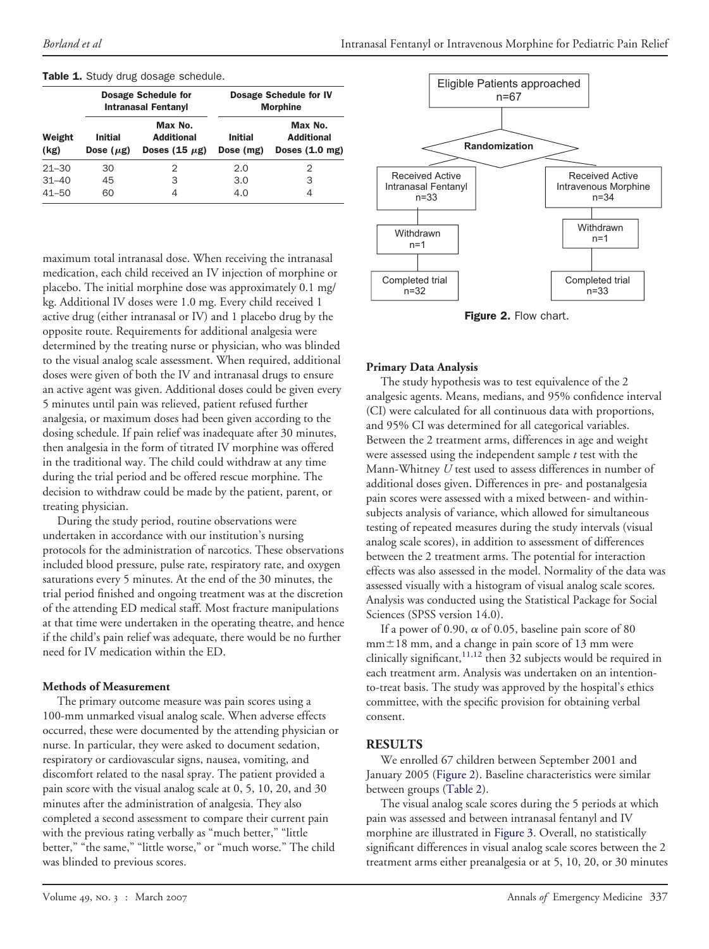|                | <b>Dosage Schedule for</b><br><b>Intranasal Fentanyl</b> |                                                    | <b>Dosage Schedule for IV</b><br><b>Morphine</b> |                                                          |  |
|----------------|----------------------------------------------------------|----------------------------------------------------|--------------------------------------------------|----------------------------------------------------------|--|
| Weight<br>(kg) | <b>Initial</b><br>Dose $(\mu g)$                         | Max No.<br><b>Additional</b><br>Doses $(15 \mu g)$ | <b>Initial</b><br>Dose (mg)                      | Max No.<br><b>Additional</b><br>Doses $(1.0 \text{ mg})$ |  |
| $21 - 30$      | 30                                                       | 2                                                  | 2.0                                              | 2                                                        |  |
| $31 - 40$      | 45                                                       | 3                                                  | 3.0                                              | З                                                        |  |
| $41 - 50$      | 60                                                       | 4                                                  | 4.0                                              | 4                                                        |  |

#### <span id="page-2-0"></span>Table 1. Study drug dosage schedule.

maximum total intranasal dose. When receiving the intranasal medication, each child received an IV injection of morphine or placebo. The initial morphine dose was approximately 0.1 mg/ kg. Additional IV doses were 1.0 mg. Every child received 1 active drug (either intranasal or IV) and 1 placebo drug by the opposite route. Requirements for additional analgesia were determined by the treating nurse or physician, who was blinded to the visual analog scale assessment. When required, additional doses were given of both the IV and intranasal drugs to ensure an active agent was given. Additional doses could be given every 5 minutes until pain was relieved, patient refused further analgesia, or maximum doses had been given according to the dosing schedule. If pain relief was inadequate after 30 minutes, then analgesia in the form of titrated IV morphine was offered in the traditional way. The child could withdraw at any time during the trial period and be offered rescue morphine. The decision to withdraw could be made by the patient, parent, or treating physician.

During the study period, routine observations were undertaken in accordance with our institution's nursing protocols for the administration of narcotics. These observations included blood pressure, pulse rate, respiratory rate, and oxygen saturations every 5 minutes. At the end of the 30 minutes, the trial period finished and ongoing treatment was at the discretion of the attending ED medical staff. Most fracture manipulations at that time were undertaken in the operating theatre, and hence if the child's pain relief was adequate, there would be no further need for IV medication within the ED.

#### **Methods of Measurement**

The primary outcome measure was pain scores using a 100-mm unmarked visual analog scale. When adverse effects occurred, these were documented by the attending physician or nurse. In particular, they were asked to document sedation, respiratory or cardiovascular signs, nausea, vomiting, and discomfort related to the nasal spray. The patient provided a pain score with the visual analog scale at 0, 5, 10, 20, and 30 minutes after the administration of analgesia. They also completed a second assessment to compare their current pain with the previous rating verbally as "much better," "little better," "the same," "little worse," or "much worse." The child was blinded to previous scores.



Figure 2. Flow chart.

#### **Primary Data Analysis**

The study hypothesis was to test equivalence of the 2 analgesic agents. Means, medians, and 95% confidence interval (CI) were calculated for all continuous data with proportions, and 95% CI was determined for all categorical variables. Between the 2 treatment arms, differences in age and weight were assessed using the independent sample *t* test with the Mann-Whitney *U* test used to assess differences in number of additional doses given. Differences in pre- and postanalgesia pain scores were assessed with a mixed between- and withinsubjects analysis of variance, which allowed for simultaneous testing of repeated measures during the study intervals (visual analog scale scores), in addition to assessment of differences between the 2 treatment arms. The potential for interaction effects was also assessed in the model. Normality of the data was assessed visually with a histogram of visual analog scale scores. Analysis was conducted using the Statistical Package for Social Sciences (SPSS version 14.0).

If a power of 0.90,  $\alpha$  of 0.05, baseline pain score of 80  $mm<sup>±</sup>18$  mm, and a change in pain score of 13 mm were clinically significant,  $11,12$  then 32 subjects would be required in each treatment arm. Analysis was undertaken on an intentionto-treat basis. The study was approved by the hospital's ethics committee, with the specific provision for obtaining verbal consent.

# **RESULTS**

We enrolled 67 children between September 2001 and January 2005 (Figure 2). Baseline characteristics were similar between groups [\(Table](#page-3-0) 2).

The visual analog scale scores during the 5 periods at which pain was assessed and between intranasal fentanyl and IV morphine are illustrated in [Figure](#page-4-0) 3. Overall, no statistically significant differences in visual analog scale scores between the 2 treatment arms either preanalgesia or at 5, 10, 20, or 30 minutes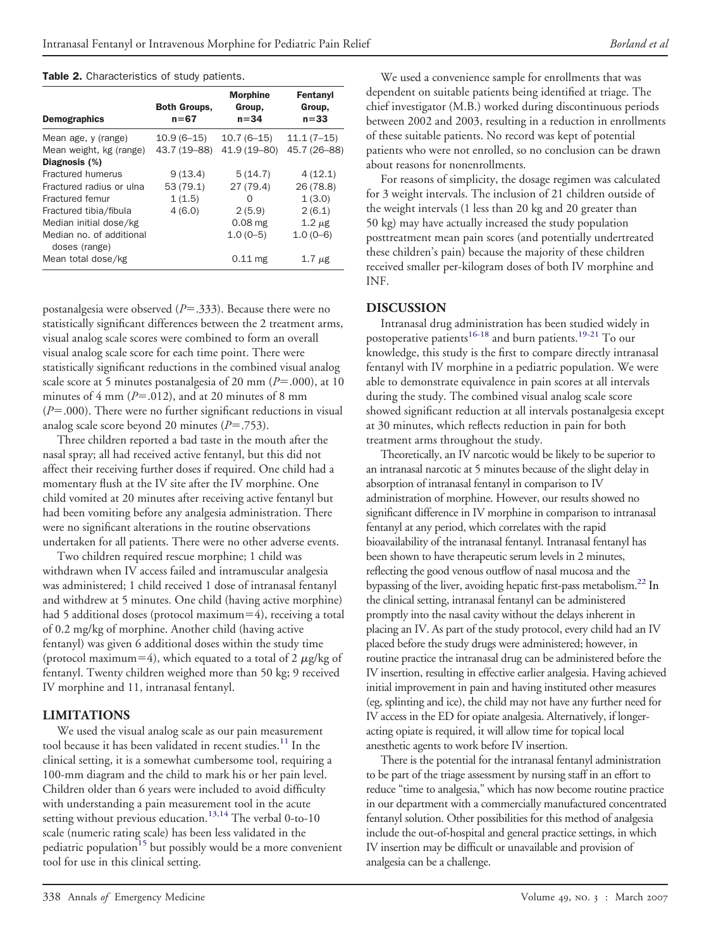#### <span id="page-3-0"></span>Table 2. Characteristics of study patients.

|                                           | <b>Both Groups,</b> | <b>Morphine</b><br>Group, | Fentanyl<br>Group, |  |
|-------------------------------------------|---------------------|---------------------------|--------------------|--|
| <b>Demographics</b>                       | $n = 67$            | $n = 34$                  | $n = 33$           |  |
| Mean age, y (range)                       | $10.9(6 - 15)$      | $10.7(6-15)$              | $11.1(7-15)$       |  |
| Mean weight, kg (range)                   | 43.7 (19-88)        | 41.9 (19-80)              | 45.7 (26-88)       |  |
| Diagnosis (%)                             |                     |                           |                    |  |
| Fractured humerus                         | 9(13.4)             | 5(14.7)                   | 4(12.1)            |  |
| Fractured radius or ulna                  | 53(79.1)            | 27(79.4)                  | 26 (78.8)          |  |
| Fractured femur                           | 1(1.5)              | Ω                         | 1(3.0)             |  |
| Fractured tibia/fibula                    | 4(6.0)              | 2(5.9)                    | 2(6.1)             |  |
| Median initial dose/kg                    |                     | $0.08$ mg                 | $1.2 \mu$ g        |  |
| Median no. of additional<br>doses (range) |                     | $1.0(0-5)$                | $1.0(0-6)$         |  |
| Mean total dose/kg                        |                     | $0.11$ mg                 | $1.7 \mu$ g        |  |

postanalgesia were observed ( $P = .333$ ). Because there were no statistically significant differences between the 2 treatment arms, visual analog scale scores were combined to form an overall visual analog scale score for each time point. There were statistically significant reductions in the combined visual analog scale score at 5 minutes postanalgesia of 20 mm  $(P=.000)$ , at 10 minutes of 4 mm  $(P=.012)$ , and at 20 minutes of 8 mm  $(P=.000)$ . There were no further significant reductions in visual analog scale score beyond 20 minutes ( $P = .753$ ).

Three children reported a bad taste in the mouth after the nasal spray; all had received active fentanyl, but this did not affect their receiving further doses if required. One child had a momentary flush at the IV site after the IV morphine. One child vomited at 20 minutes after receiving active fentanyl but had been vomiting before any analgesia administration. There were no significant alterations in the routine observations undertaken for all patients. There were no other adverse events.

Two children required rescue morphine; 1 child was withdrawn when IV access failed and intramuscular analgesia was administered; 1 child received 1 dose of intranasal fentanyl and withdrew at 5 minutes. One child (having active morphine) had 5 additional doses (protocol maximum $=4$ ), receiving a total of 0.2 mg/kg of morphine. Another child (having active fentanyl) was given 6 additional doses within the study time (protocol maximum=4), which equated to a total of 2  $\mu$ g/kg of fentanyl. Twenty children weighed more than 50 kg; 9 received IV morphine and 11, intranasal fentanyl.

# **LIMITATIONS**

We used the visual analog scale as our pain measurement tool because it has been validated in recent studies.<sup>[11](#page-5-0)</sup> In the clinical setting, it is a somewhat cumbersome tool, requiring a 100-mm diagram and the child to mark his or her pain level. Children older than 6 years were included to avoid difficulty with understanding a pain measurement tool in the acute setting without previous education.<sup>[13,14](#page-5-0)</sup> The verbal 0-to-10 scale (numeric rating scale) has been less validated in the pediatric population<sup>[15](#page-5-0)</sup> but possibly would be a more convenient tool for use in this clinical setting.

We used a convenience sample for enrollments that was dependent on suitable patients being identified at triage. The chief investigator (M.B.) worked during discontinuous periods between 2002 and 2003, resulting in a reduction in enrollments of these suitable patients. No record was kept of potential patients who were not enrolled, so no conclusion can be drawn about reasons for nonenrollments.

For reasons of simplicity, the dosage regimen was calculated for 3 weight intervals. The inclusion of 21 children outside of the weight intervals (1 less than 20 kg and 20 greater than 50 kg) may have actually increased the study population posttreatment mean pain scores (and potentially undertreated these children's pain) because the majority of these children received smaller per-kilogram doses of both IV morphine and INF.

# **DISCUSSION**

Intranasal drug administration has been studied widely in postoperative patients<sup>[16-18](#page-5-0)</sup> and burn patients.<sup>[19-21](#page-5-0)</sup> To our knowledge, this study is the first to compare directly intranasal fentanyl with IV morphine in a pediatric population. We were able to demonstrate equivalence in pain scores at all intervals during the study. The combined visual analog scale score showed significant reduction at all intervals postanalgesia except at 30 minutes, which reflects reduction in pain for both treatment arms throughout the study.

Theoretically, an IV narcotic would be likely to be superior to an intranasal narcotic at 5 minutes because of the slight delay in absorption of intranasal fentanyl in comparison to IV administration of morphine. However, our results showed no significant difference in IV morphine in comparison to intranasal fentanyl at any period, which correlates with the rapid bioavailability of the intranasal fentanyl. Intranasal fentanyl has been shown to have therapeutic serum levels in 2 minutes, reflecting the good venous outflow of nasal mucosa and the bypassing of the liver, avoiding hepatic first-pass metabolism.<sup>22</sup> In the clinical setting, intranasal fentanyl can be administered promptly into the nasal cavity without the delays inherent in placing an IV. As part of the study protocol, every child had an IV placed before the study drugs were administered; however, in routine practice the intranasal drug can be administered before the IV insertion, resulting in effective earlier analgesia. Having achieved initial improvement in pain and having instituted other measures (eg, splinting and ice), the child may not have any further need for IV access in the ED for opiate analgesia. Alternatively, if longeracting opiate is required, it will allow time for topical local anesthetic agents to work before IV insertion.

There is the potential for the intranasal fentanyl administration to be part of the triage assessment by nursing staff in an effort to reduce "time to analgesia," which has now become routine practice in our department with a commercially manufactured concentrated fentanyl solution. Other possibilities for this method of analgesia include the out-of-hospital and general practice settings, in which IV insertion may be difficult or unavailable and provision of analgesia can be a challenge.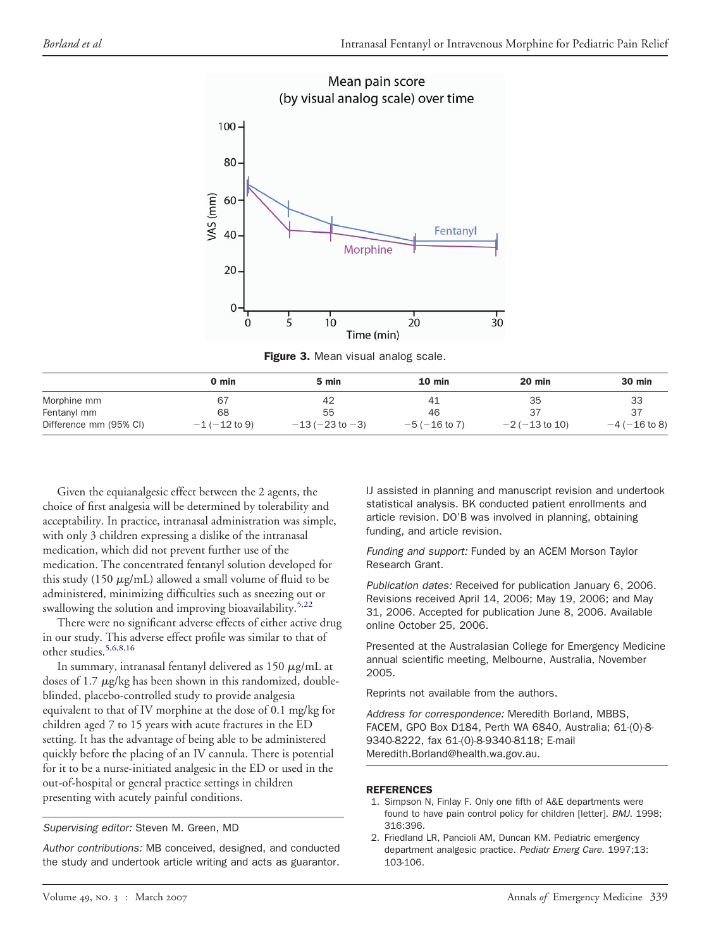<span id="page-4-0"></span>

Figure 3. Mean visual analog scale.

|                        | 0 min              | 5 min                   | $10 \text{ min}$   | $20$ min            | 30 min             |
|------------------------|--------------------|-------------------------|--------------------|---------------------|--------------------|
| Morphine mm            | 67                 | 42                      | 41                 | 35                  | 33                 |
| Fentanyl mm            | 68                 | 55                      | 46                 |                     |                    |
| Difference mm (95% CI) | $-1$ ( $-12$ to 9) | $-13$ ( $-23$ to $-3$ ) | $-5$ ( $-16$ to 7) | $-2$ ( $-13$ to 10) | $-4$ ( $-16$ to 8) |

Given the equianalgesic effect between the 2 agents, the choice of first analgesia will be determined by tolerability and acceptability. In practice, intranasal administration was simple, with only 3 children expressing a dislike of the intranasal medication, which did not prevent further use of the medication. The concentrated fentanyl solution developed for this study (150  $\mu$ g/mL) allowed a small volume of fluid to be administered, minimizing difficulties such as sneezing out or swallowing the solution and improving bioavailability.<sup>[5,22](#page-5-0)</sup>

There were no significant adverse effects of either active drug in our study. This adverse effect profile was similar to that of other studies. [5,6,8,16](#page-5-0)

In summary, intranasal fentanyl delivered as  $150 \mu g/mL$  at doses of  $1.7 \mu g/kg$  has been shown in this randomized, doubleblinded, placebo-controlled study to provide analgesia equivalent to that of IV morphine at the dose of 0.1 mg/kg for children aged 7 to 15 years with acute fractures in the ED setting. It has the advantage of being able to be administered quickly before the placing of an IV cannula. There is potential for it to be a nurse-initiated analgesic in the ED or used in the out-of-hospital or general practice settings in children presenting with acutely painful conditions.

*Supervising editor:* Steven M. Green, MD

*Author contributions:* MB conceived, designed, and conducted the study and undertook article writing and acts as guarantor.

IJ assisted in planning and manuscript revision and undertook statistical analysis. BK conducted patient enrollments and article revision. DO'B was involved in planning, obtaining funding, and article revision.

*Funding and support:* Funded by an ACEM Morson Taylor Research Grant.

*Publication dates:* Received for publication January 6, 2006. Revisions received April 14, 2006; May 19, 2006; and May 31, 2006. Accepted for publication June 8, 2006. Available online October 25, 2006.

Presented at the Australasian College for Emergency Medicine annual scientific meeting, Melbourne, Australia, November 2005.

Reprints not available from the authors.

*Address for correspondence:* Meredith Borland, MBBS, FACEM, GPO Box D184, Perth WA 6840, Australia; 61-(0)-8- 9340-8222, fax 61-(0)-8-9340-8118; E-mail Meredith.Borland@health.wa.gov.au.

#### REFERENCES

- 1. Simpson N, Finlay F. Only one fifth of A&E departments were found to have pain control policy for children [letter]. *BMJ*. 1998; 316:396.
- 2. Friedland LR, Pancioli AM, Duncan KM. Pediatric emergency department analgesic practice. *Pediatr Emerg Care*. 1997;13: 103-106.